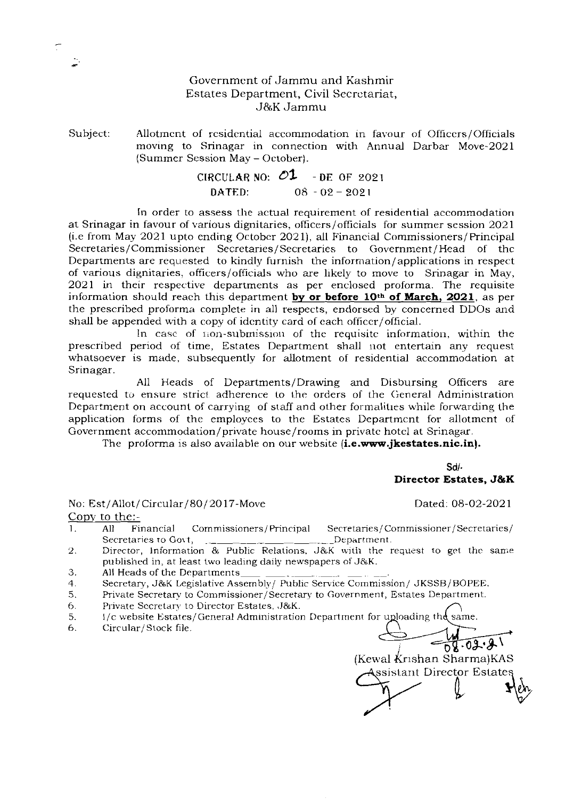## Government of Jammu and Kashmir Estates Department, Civil Secrctariat, J&K Jamrnu

Subject: Allotment of residential accommodation in favour of Officers/Officials moving to Srinagar in connection with Annual Darbar Move-2021 (Summer Session May - October).

# **CIRCULAR NO:**  $O1$  - DE OF 2021<br>DATED: 08 - 02 - 2021  $08 - 02 - 2021$

In order to assess the actual requirement of residential accommodation at Srinagar in favour of various dignitaries, officers/officials for summer session 2021 (i.e from May 2021 upto ending October 2021), all Financial Commissioners/Principal Secretaries/Commissioner Secretaries/Secretaries to Government/Head of the Secretaries/Secretaries to Government/Head of thc Departments are requested to kindly furnish the information/applications in respect of various dignitaries, officers/officials who are likely to move to Srinagar in May, 2021 in their respective departments as per enclosed proforma. The requisite information should reach this department by **or before 10th of March, 2021,** as per the prescribed proforma complete in all respects, endorsed by concerned DDOs and shall be appended with a copy of identity card of each officer/official.

In case of non-submission of the requisite information, within the prescribed period of time, Estates Department shall not entertain any rcquest whatsoever is made, subsequently for allotment of residential accommodation at Srinagar.

All Heads of Departments/Drawing and Disbursing Officers are requested to ensure strict adherence to the orders of the General Administration Department on account of carrying of staff and other formalities while forwarding the application forms of the employces to the Estates Departmcnt for allotmcnt of Government accommodation/private house/rooms in privatc hotcl at Srinagar.

The proforma is also available on our website **(i.e.www.jkestates.nic.in).** 

**Sdl. Director Estates, J&K** 

No: Est/Allot/Circular/80/2017-Move Dated: 08-02-2021

Copy to the:-

- 1. All Financial Commissioners/Principal Secretaries/Commissioner/Secretaries/<br>Secretaries to Govt, \_\_ \_ \_ \_ \_ \_ \_ \_ \_ Department. Secretaries to Gott, ... Department.
- 2. Director, Information & Public Relations, J&K with the request to get the same published in, at least two leading daiiy newspapers of J&K.
- 3. All Heads of the Departments .
- 4. Secretary, J&K Legislative Assembly/ Public Service Commission/ JKSSB/BOPEE.
- Secretary, Josh Legislative Assembly) Public Service Commission) SKSSB/BOPEE.<br>
5. Private Secretary to Director Estates, J&K. network from the commission of the Secretary to Director Estates, J&K.
- 
- 5. I/c website Estates/General Administration Department for uploading the
- 6. Circular/Stock file.

nt for uploading the same.<br> **1920-02.21**<br>
(Kewal Krishan Sharma)KAS<br>
Assistant Director Estates